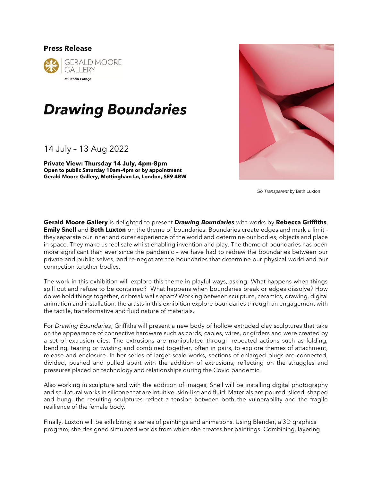## **Press Release**



## *Drawing Boundaries*

14 July – 13 Aug 2022

**Private View: Thursday 14 July, 4pm-8pm Open to public Saturday 10am-4pm or by appointment Gerald Moore Gallery, Mottingham Ln, London, SE9 4RW**



*So Transparent* by Beth Luxton

**Gerald Moore Gallery** is delighted to present *Drawing Boundaries* with works by **Rebecca Griffiths**, **Emily Snell** and **Beth Luxton** on the theme of boundaries. Boundaries create edges and mark a limit they separate our inner and outer experience of the world and determine our bodies, objects and place in space. They make us feel safe whilst enabling invention and play. The theme of boundaries has been more significant than ever since the pandemic – we have had to redraw the boundaries between our private and public selves, and re-negotiate the boundaries that determine our physical world and our connection to other bodies.

The work in this exhibition will explore this theme in playful ways, asking: What happens when things spill out and refuse to be contained? What happens when boundaries break or edges dissolve? How do we hold things together, or break walls apart? Working between sculpture, ceramics, drawing, digital animation and installation, the artists in this exhibition explore boundaries through an engagement with the tactile, transformative and fluid nature of materials.

For *Drawing Boundaries*, Griffiths will present a new body of hollow extruded clay sculptures that take on the appearance of connective hardware such as cords, cables, wires, or girders and were created by a set of extrusion dies. The extrusions are manipulated through repeated actions such as folding, bending, tearing or twisting and combined together, often in pairs, to explore themes of attachment, release and enclosure. In her series of larger-scale works, sections of enlarged plugs are connected, divided, pushed and pulled apart with the addition of extrusions, reflecting on the struggles and pressures placed on technology and relationships during the Covid pandemic.

Also working in sculpture and with the addition of images, Snell will be installing digital photography and sculptural works in silicone that are intuitive, skin-like and fluid. Materials are poured, sliced, shaped and hung, the resulting sculptures reflect a tension between both the vulnerability and the fragile resilience of the female body.

Finally, Luxton will be exhibiting a series of paintings and animations. Using Blender, a 3D graphics program, she designed simulated worlds from which she creates her paintings. Combining, layering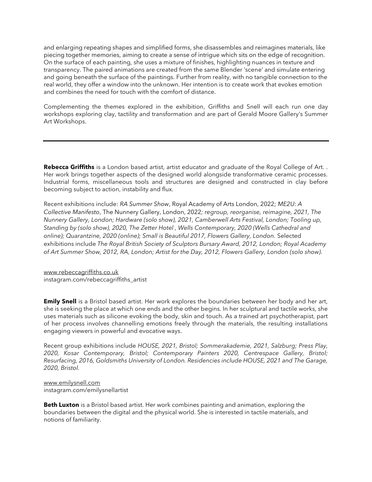and enlarging repeating shapes and simplified forms, she disassembles and reimagines materials, like piecing together memories, aiming to create a sense of intrigue which sits on the edge of recognition. On the surface of each painting, she uses a mixture of finishes, highlighting nuances in texture and transparency. The paired animations are created from the same Blender 'scene' and simulate entering and going beneath the surface of the paintings. Further from reality, with no tangible connection to the real world, they offer a window into the unknown. Her intention is to create work that evokes emotion and combines the need for touch with the comfort of distance.

Complementing the themes explored in the exhibition, Griffiths and Snell will each run one day workshops exploring clay, tactility and transformation and are part of Gerald Moore Gallery's Summer Art Workshops.

**Rebecca Griffiths** is a London based artist, artist educator and graduate of the Royal College of Art. . Her work brings together aspects of the designed world alongside transformative ceramic processes. Industrial forms, miscellaneous tools and structures are designed and constructed in clay before becoming subject to action, instability and flux.

Recent exhibitions include: *RA Summer Show*, Royal Academy of Arts London, 2022; *ME2U: A Collective Manifesto*, The Nunnery Gallery, London, 2022*; regroup, reorganise, reimagine, 2021, The Nunnery Gallery, London; Hardware (solo show), 2021, Camberwell Arts Festival, London; Tooling up, Standing by (solo show), 2020, The Zetter Hotel , Wells Contemporary, 2020 (Wells Cathedral and online); Quarantzine, 2020 (online); Small is Beautiful 2017, Flowers Gallery, London.* Selected exhibitions include *The Royal British Society of Sculptors Bursary Award, 2012, London; Royal Academy of Art Summer Show, 2012, RA, London; Artist for the Day, 2012, Flowers Gallery, London (solo show).*

[www.rebeccagriffiths.co.uk](http://www.rebeccagriffiths.co.uk/) instagram.com/rebeccagriffiths\_artist

**Emily Snell** is a Bristol based artist. Her work explores the boundaries between her body and her art, she is seeking the place at which one ends and the other begins. In her sculptural and tactile works, she uses materials such as silicone evoking the body, skin and touch. As a trained art psychotherapist, part of her process involves channelling emotions freely through the materials, the resulting installations engaging viewers in powerful and evocative ways.

Recent group exhibitions include *HOUSE, 2021, Bristol; Sommerakademie, 2021, Salzburg; Press Play, 2020, Kosar Contemporary, Bristol; Contemporary Painters 2020, Centrespace Gallery, Bristol; Resurfacing, 2016, Goldsmiths University of London. Residencies include HOUSE, 2021 and The Garage, 2020, Bristol.*

[www.emilysnell.com](http://www.emilysnell.com/) instagram.com/emilysnellartist

**Beth Luxton** is a Bristol based artist. Her work combines painting and animation, exploring the boundaries between the digital and the physical world. She is interested in tactile materials, and notions of familiarity.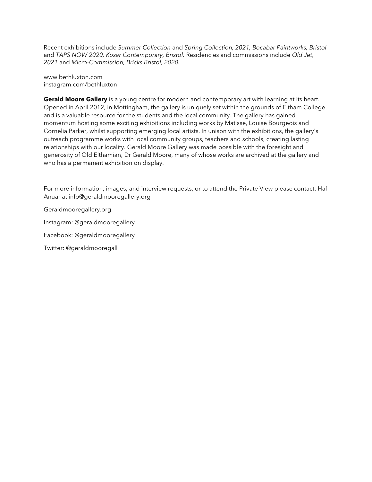Recent exhibitions include *Summer Collection* and *Spring Collection, 2021, Bocabar Paintworks, Bristol*  and *TAPS NOW 2020, Kosar Contemporary, Bristol.* Residencies and commissions include *Old Jet, 2021* and *Micro-Commission, Bricks Bristol, 2020.*

[www.bethluxton.com](http://www.bethluxton.com/) instagram.com/bethluxton

**Gerald Moore Gallery** is a young centre for modern and contemporary art with learning at its heart. Opened in April 2012, in Mottingham, the gallery is uniquely set within the grounds of Eltham College and is a valuable resource for the students and the local community. The gallery has gained momentum hosting some exciting exhibitions including works by Matisse, Louise Bourgeois and Cornelia Parker, whilst supporting emerging local artists. In unison with the exhibitions, the gallery's outreach programme works with local community groups, teachers and schools, creating lasting relationships with our locality. Gerald Moore Gallery was made possible with the foresight and generosity of Old Elthamian, Dr Gerald Moore, many of whose works are archived at the gallery and who has a permanent exhibition on display.

For more information, images, and interview requests, or to attend the Private View please contact: Haf Anuar at info@geraldmooregallery.org

Geraldmooregallery.org

Instagram: @geraldmooregallery

Facebook: @geraldmooregallery

Twitter: @geraldmooregall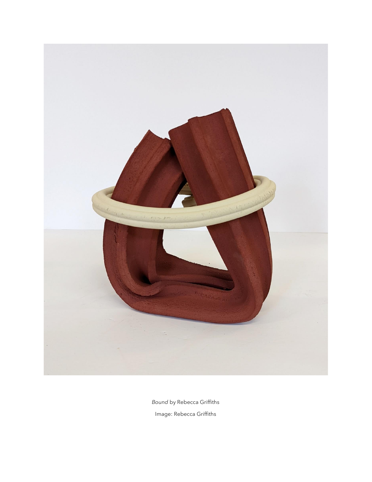

*Bound* by Rebecca Griffiths Image: Rebecca Griffiths